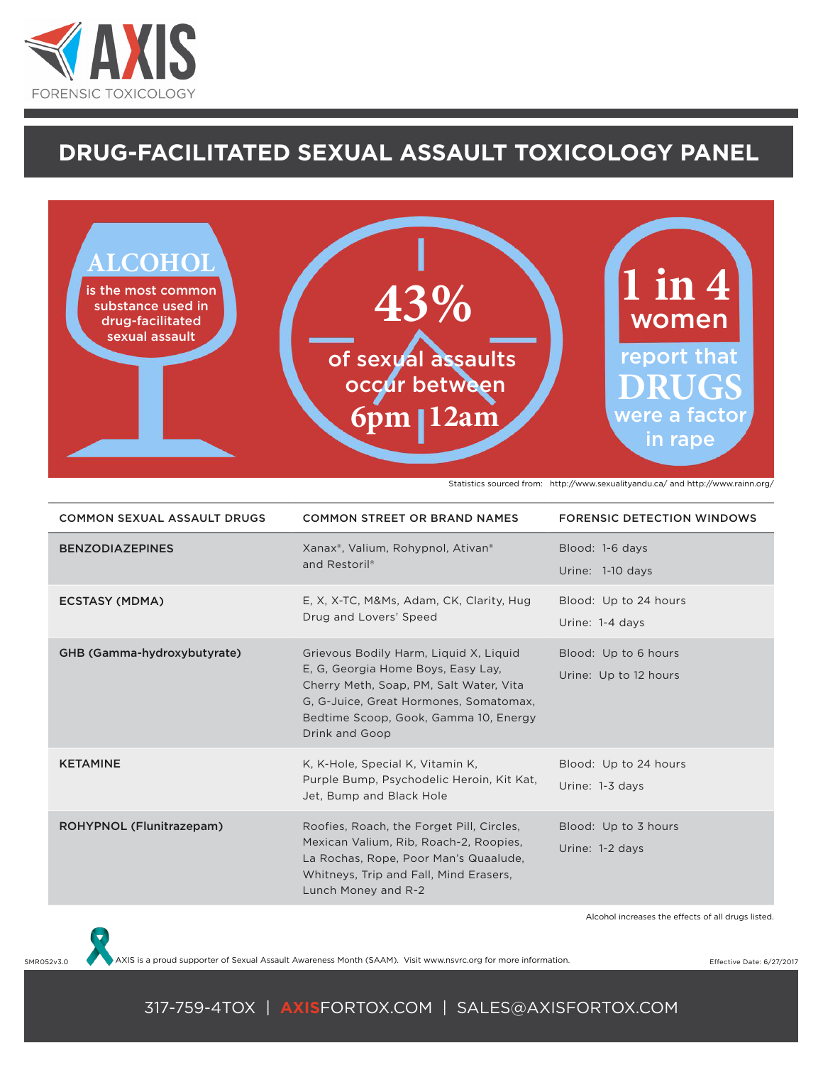

## **drug-facilitated sexual assault Toxicology Panel**



Statistics sourced from: http://www.sexualityandu.ca/ and http://www.rainn.org/

| <b>COMMON SEXUAL ASSAULT DRUGS</b> | <b>COMMON STREET OR BRAND NAMES</b>                                                                                                                                                                                          | <b>FORENSIC DETECTION WINDOWS</b>                  |
|------------------------------------|------------------------------------------------------------------------------------------------------------------------------------------------------------------------------------------------------------------------------|----------------------------------------------------|
| <b>BENZODIAZEPINES</b>             | Xanax <sup>®</sup> , Valium, Rohypnol, Ativan <sup>®</sup><br>and Restoril®                                                                                                                                                  | Blood: 1-6 days<br>Urine: 1-10 days                |
| <b>ECSTASY (MDMA)</b>              | E, X, X-TC, M&Ms, Adam, CK, Clarity, Hug<br>Drug and Lovers' Speed                                                                                                                                                           | Blood: Up to 24 hours<br>Urine: 1-4 days           |
| GHB (Gamma-hydroxybutyrate)        | Grievous Bodily Harm, Liquid X, Liquid<br>E, G, Georgia Home Boys, Easy Lay,<br>Cherry Meth, Soap, PM, Salt Water, Vita<br>G, G-Juice, Great Hormones, Somatomax,<br>Bedtime Scoop, Gook, Gamma 10, Energy<br>Drink and Goop | Blood: Up to 6 hours<br>Urine: Up to 12 hours      |
| <b>KETAMINE</b>                    | K, K-Hole, Special K, Vitamin K,<br>Purple Bump, Psychodelic Heroin, Kit Kat,<br>Jet, Bump and Black Hole                                                                                                                    | Blood: Up to 24 hours<br>Urine: 1-3 days           |
| ROHYPNOL (Flunitrazepam)           | Roofies, Roach, the Forget Pill, Circles,<br>Mexican Valium, Rib, Roach-2, Roopies,<br>La Rochas, Rope, Poor Man's Quaalude,<br>Whitneys, Trip and Fall, Mind Erasers,<br>Lunch Money and R-2                                | Blood: Up to 3 hours<br>Urine: 1-2 days            |
|                                    |                                                                                                                                                                                                                              | Alcohol increases the effects of all drugs listed. |



SMR052v3.0 AXIS is a proud supporter of Sexual Assault Awareness Month (SAAM). Visit www.nsvrc.org for more information.

## 317-759-4TOX | **AXIS**FORTOX.COM | SALES@AXISFORTOX.COM